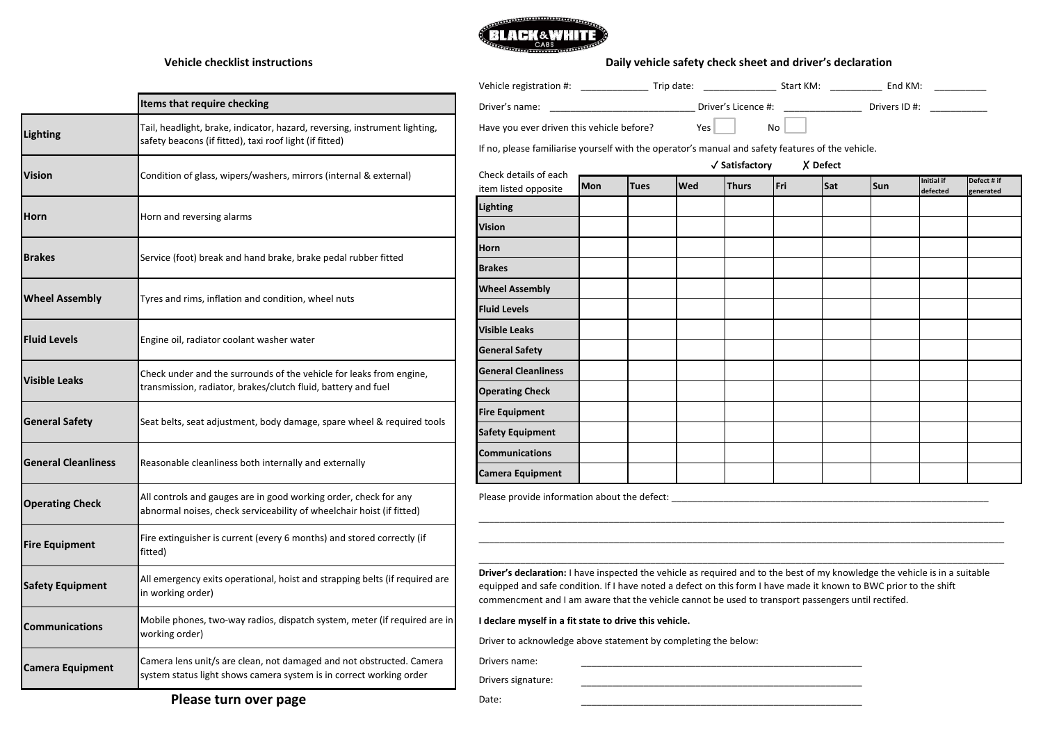

## **Vehicle checklist instructions**

## **Daily vehicle safety check sheet and driver's declaration**

|                            | Items that require checking                                                                                                                 |  |  |  |  |  |
|----------------------------|---------------------------------------------------------------------------------------------------------------------------------------------|--|--|--|--|--|
| <b>Lighting</b>            | Tail, headlight, brake, indicator, hazard, reversing, instrument lighting,<br>safety beacons (if fitted), taxi roof light (if fitted)       |  |  |  |  |  |
| Vision                     | Condition of glass, wipers/washers, mirrors (internal & external)                                                                           |  |  |  |  |  |
| Horn                       | Horn and reversing alarms                                                                                                                   |  |  |  |  |  |
| <b>Brakes</b>              | Service (foot) break and hand brake, brake pedal rubber fitted                                                                              |  |  |  |  |  |
| <b>Wheel Assembly</b>      | Tyres and rims, inflation and condition, wheel nuts                                                                                         |  |  |  |  |  |
| <b>Fluid Levels</b>        | Engine oil, radiator coolant washer water                                                                                                   |  |  |  |  |  |
| <b>Visible Leaks</b>       | Check under and the surrounds of the vehicle for leaks from engine,<br>transmission, radiator, brakes/clutch fluid, battery and fuel        |  |  |  |  |  |
| <b>General Safety</b>      | Seat belts, seat adjustment, body damage, spare wheel & required tools                                                                      |  |  |  |  |  |
| <b>General Cleanliness</b> | Reasonable cleanliness both internally and externally                                                                                       |  |  |  |  |  |
| <b>Operating Check</b>     | All controls and gauges are in good working order, check for any<br>abnormal noises, check serviceability of wheelchair hoist (if fitted)   |  |  |  |  |  |
| <b>Fire Equipment</b>      | Fire extinguisher is current (every 6 months) and stored correctly (if<br>fitted)                                                           |  |  |  |  |  |
| <b>Safety Equipment</b>    | All emergency exits operational, hoist and strapping belts (if required are<br>in working order)                                            |  |  |  |  |  |
| <b>Communications</b>      | Mobile phones, two-way radios, dispatch system, meter (if required are in<br>working order)                                                 |  |  |  |  |  |
| Camera Equipment           | Camera lens unit/s are clean, not damaged and not obstructed. Camera<br>system status light shows camera system is in correct working order |  |  |  |  |  |

| Driver's name:                                                                                    |                            |             |            |              |     |     | <b>Example 19 Service State Service State State State State State State State State State State State State State State State State State State State State State State State State State State State State State State State St</b> |                               |                          |
|---------------------------------------------------------------------------------------------------|----------------------------|-------------|------------|--------------|-----|-----|--------------------------------------------------------------------------------------------------------------------------------------------------------------------------------------------------------------------------------------|-------------------------------|--------------------------|
| Have you ever driven this vehicle before?                                                         |                            |             | Yes        |              | No  |     |                                                                                                                                                                                                                                      |                               |                          |
| If no, please familiarise yourself with the operator's manual and safety features of the vehicle. |                            |             |            |              |     |     |                                                                                                                                                                                                                                      |                               |                          |
| Check details of each                                                                             | √ Satisfactory<br>X Defect |             |            |              |     |     |                                                                                                                                                                                                                                      |                               |                          |
| item listed opposite                                                                              | <b>Mon</b>                 | <b>Tues</b> | <b>Wed</b> | <b>Thurs</b> | Fri | Sat | Sun                                                                                                                                                                                                                                  | <b>Initial if</b><br>defected | Defect # if<br>generated |
| <b>Lighting</b>                                                                                   |                            |             |            |              |     |     |                                                                                                                                                                                                                                      |                               |                          |
| <b>Vision</b>                                                                                     |                            |             |            |              |     |     |                                                                                                                                                                                                                                      |                               |                          |
| <b>Horn</b>                                                                                       |                            |             |            |              |     |     |                                                                                                                                                                                                                                      |                               |                          |
| <b>Brakes</b>                                                                                     |                            |             |            |              |     |     |                                                                                                                                                                                                                                      |                               |                          |
| <b>Wheel Assembly</b>                                                                             |                            |             |            |              |     |     |                                                                                                                                                                                                                                      |                               |                          |
| <b>Fluid Levels</b>                                                                               |                            |             |            |              |     |     |                                                                                                                                                                                                                                      |                               |                          |
| <b>Visible Leaks</b>                                                                              |                            |             |            |              |     |     |                                                                                                                                                                                                                                      |                               |                          |
| <b>General Safety</b>                                                                             |                            |             |            |              |     |     |                                                                                                                                                                                                                                      |                               |                          |
| <b>General Cleanliness</b>                                                                        |                            |             |            |              |     |     |                                                                                                                                                                                                                                      |                               |                          |
| <b>Operating Check</b>                                                                            |                            |             |            |              |     |     |                                                                                                                                                                                                                                      |                               |                          |
| <b>Fire Equipment</b>                                                                             |                            |             |            |              |     |     |                                                                                                                                                                                                                                      |                               |                          |
| <b>Safety Equipment</b>                                                                           |                            |             |            |              |     |     |                                                                                                                                                                                                                                      |                               |                          |
| <b>Communications</b>                                                                             |                            |             |            |              |     |     |                                                                                                                                                                                                                                      |                               |                          |
| <b>Camera Equipment</b>                                                                           |                            |             |            |              |     |     |                                                                                                                                                                                                                                      |                               |                          |

Please provide information about the defect: \_\_\_\_\_\_\_\_\_\_\_\_\_\_\_\_\_\_\_\_\_\_\_\_\_\_\_\_\_\_\_\_\_\_\_

**Driver's declaration:** I have inspected the vehicle as required and to the best of my knowledge the vehicle is in a suitable equipped and safe condition. If I have noted a defect on this form I have made it known to BWC prior to the shift commencment and I am aware that the vehicle cannot be used to transport passengers until rectifed.

\_\_\_\_\_\_\_\_\_\_\_\_\_\_\_\_\_\_\_\_\_\_\_\_\_\_\_\_\_\_\_\_\_\_\_\_\_\_\_\_\_\_\_\_\_\_\_\_\_\_\_\_\_\_

\_\_\_\_\_\_\_\_\_\_\_\_\_\_\_\_\_\_\_\_\_\_\_\_\_\_\_\_\_\_\_\_\_\_\_\_\_\_\_\_\_\_\_\_\_\_\_\_\_\_\_\_\_\_

\_\_\_\_\_\_\_\_\_\_\_\_\_\_\_\_\_\_\_\_\_\_\_\_\_\_\_\_\_\_\_\_\_\_\_\_\_\_\_\_\_\_\_\_\_\_\_\_\_\_\_\_\_\_\_\_\_\_\_\_\_\_\_\_\_\_\_\_\_\_\_\_\_\_\_\_\_\_\_\_\_\_\_\_\_\_\_\_\_\_\_\_\_\_\_\_\_\_\_\_\_

\_\_\_\_\_\_\_\_\_\_\_\_\_\_\_\_\_\_\_\_\_\_\_\_\_\_\_\_\_\_\_\_\_\_\_\_\_\_\_\_\_\_\_\_\_\_\_\_\_\_\_\_\_\_\_\_\_\_\_\_\_\_\_\_\_\_\_\_\_\_\_\_\_\_\_\_\_\_\_\_\_\_\_\_\_\_\_\_\_\_\_\_\_\_\_\_\_\_\_\_\_

\_\_\_\_\_\_\_\_\_\_\_\_\_\_\_\_\_\_\_\_\_\_\_\_\_\_\_\_\_\_\_\_\_\_\_\_\_\_\_\_\_\_\_\_\_\_\_\_\_\_\_\_\_\_\_\_\_\_\_\_\_\_\_\_\_\_\_\_\_\_\_\_\_\_\_\_\_\_\_\_\_\_\_\_\_\_\_\_\_\_\_\_\_\_\_\_\_\_\_\_\_

**I declare myself in a fit state to drive this vehicle.**

Driver to acknowledge above statement by completing the below:

Drivers name:

Drivers signature:

**Please turn over page**

Date: